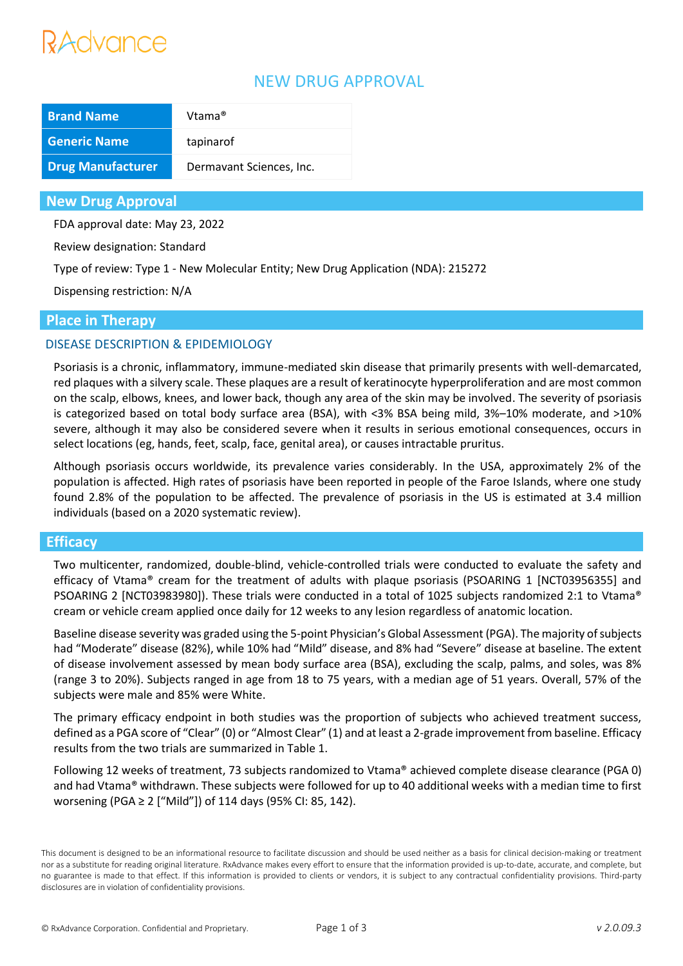# Advance

## NEW DRUG APPROVAL

| <b>Brand Name</b>        | Vtama®                   |
|--------------------------|--------------------------|
| <b>Generic Name</b>      | tapinarof                |
| <b>Drug Manufacturer</b> | Dermavant Sciences, Inc. |

#### **New Drug Approval**

FDA approval date: May 23, 2022

Review designation: Standard

Type of review: Type 1 - New Molecular Entity; New Drug Application (NDA): 215272

Dispensing restriction: N/A

#### **Place in Therapy**

#### DISEASE DESCRIPTION & EPIDEMIOLOGY

Psoriasis is a chronic, inflammatory, immune-mediated skin disease that primarily presents with well-demarcated, red plaques with a silvery scale. These plaques are a result of keratinocyte hyperproliferation and are most common on the scalp, elbows, knees, and lower back, though any area of the skin may be involved. The severity of psoriasis is categorized based on total body surface area (BSA), with <3% BSA being mild, 3%–10% moderate, and >10% severe, although it may also be considered severe when it results in serious emotional consequences, occurs in select locations (eg, hands, feet, scalp, face, genital area), or causes intractable pruritus.

Although psoriasis occurs worldwide, its prevalence varies considerably. In the USA, approximately 2% of the population is affected. High rates of psoriasis have been reported in people of the Faroe Islands, where one study found 2.8% of the population to be affected. The prevalence of psoriasis in the US is estimated at 3.4 million individuals (based on a 2020 systematic review).

#### **Efficacy**

Two multicenter, randomized, double-blind, vehicle-controlled trials were conducted to evaluate the safety and efficacy of Vtama® cream for the treatment of adults with plaque psoriasis (PSOARING 1 [NCT03956355] and PSOARING 2 [NCT03983980]). These trials were conducted in a total of 1025 subjects randomized 2:1 to Vtama® cream or vehicle cream applied once daily for 12 weeks to any lesion regardless of anatomic location.

Baseline disease severity was graded using the 5-point Physician's Global Assessment (PGA). The majority of subjects had "Moderate" disease (82%), while 10% had "Mild" disease, and 8% had "Severe" disease at baseline. The extent of disease involvement assessed by mean body surface area (BSA), excluding the scalp, palms, and soles, was 8% (range 3 to 20%). Subjects ranged in age from 18 to 75 years, with a median age of 51 years. Overall, 57% of the subjects were male and 85% were White.

The primary efficacy endpoint in both studies was the proportion of subjects who achieved treatment success, defined as a PGA score of "Clear" (0) or "Almost Clear" (1) and at least a 2-grade improvement from baseline. Efficacy results from the two trials are summarized in Table 1.

Following 12 weeks of treatment, 73 subjects randomized to Vtama® achieved complete disease clearance (PGA 0) and had Vtama® withdrawn. These subjects were followed for up to 40 additional weeks with a median time to first worsening (PGA ≥ 2 ["Mild"]) of 114 days (95% CI: 85, 142).

This document is designed to be an informational resource to facilitate discussion and should be used neither as a basis for clinical decision-making or treatment nor as a substitute for reading original literature. RxAdvance makes every effort to ensure that the information provided is up-to-date, accurate, and complete, but no guarantee is made to that effect. If this information is provided to clients or vendors, it is subject to any contractual confidentiality provisions. Third-party disclosures are in violation of confidentiality provisions.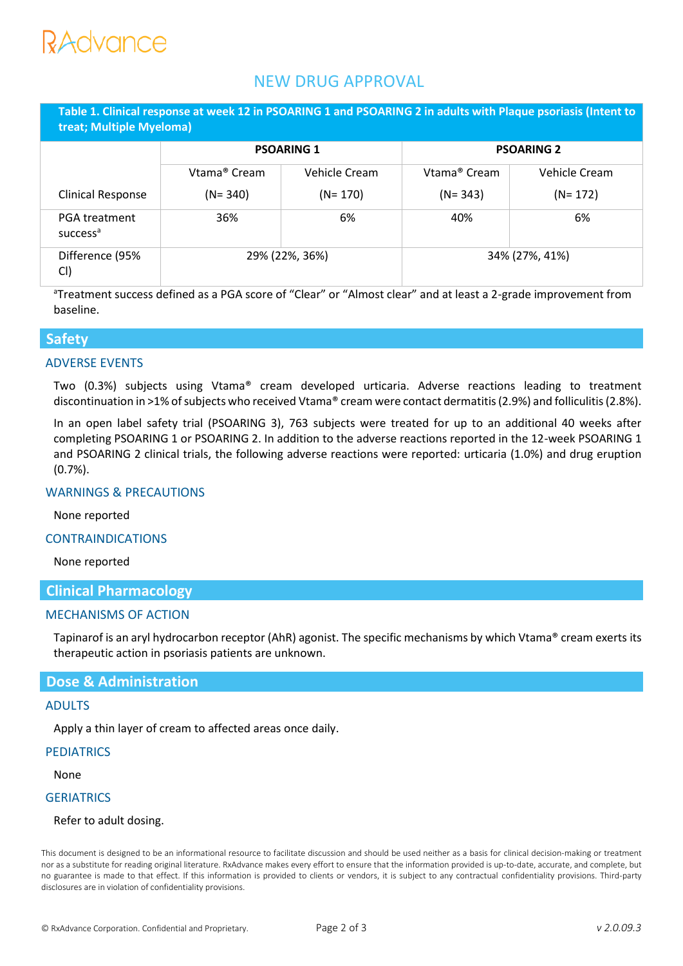# RAdvance

### NEW DRUG APPROVAL

**Table 1. Clinical response at week 12 in PSOARING 1 and PSOARING 2 in adults with Plaque psoriasis (Intent to treat; Multiple Myeloma)**

|                                              | <b>PSOARING 1</b> |               | <b>PSOARING 2</b>        |               |
|----------------------------------------------|-------------------|---------------|--------------------------|---------------|
|                                              | Vtama® Cream      | Vehicle Cream | Vtama <sup>®</sup> Cream | Vehicle Cream |
| <b>Clinical Response</b>                     | $(N = 340)$       | $(N = 170)$   | $(N = 343)$              | $(N = 172)$   |
| <b>PGA treatment</b><br>success <sup>a</sup> | 36%               | 6%            | 40%                      | 6%            |
| Difference (95%<br>CI)                       | 29% (22%, 36%)    |               | 34% (27%, 41%)           |               |

<sup>a</sup>Treatment success defined as a PGA score of "Clear" or "Almost clear" and at least a 2-grade improvement from baseline.

#### **Safety**

#### ADVERSE EVENTS

Two (0.3%) subjects using Vtama® cream developed urticaria. Adverse reactions leading to treatment discontinuation in >1% of subjects who received Vtama® cream were contact dermatitis (2.9%) and folliculitis (2.8%).

In an open label safety trial (PSOARING 3), 763 subjects were treated for up to an additional 40 weeks after completing PSOARING 1 or PSOARING 2. In addition to the adverse reactions reported in the 12-week PSOARING 1 and PSOARING 2 clinical trials, the following adverse reactions were reported: urticaria (1.0%) and drug eruption (0.7%).

#### WARNINGS & PRECAUTIONS

None reported

#### CONTRAINDICATIONS

None reported

#### **Clinical Pharmacology**

#### MECHANISMS OF ACTION

Tapinarof is an aryl hydrocarbon receptor (AhR) agonist. The specific mechanisms by which Vtama® cream exerts its therapeutic action in psoriasis patients are unknown.

#### **Dose & Administration**

#### ADULTS

Apply a thin layer of cream to affected areas once daily.

#### **PEDIATRICS**

None

#### **GERIATRICS**

#### Refer to adult dosing.

This document is designed to be an informational resource to facilitate discussion and should be used neither as a basis for clinical decision-making or treatment nor as a substitute for reading original literature. RxAdvance makes every effort to ensure that the information provided is up-to-date, accurate, and complete, but no guarantee is made to that effect. If this information is provided to clients or vendors, it is subject to any contractual confidentiality provisions. Third-party disclosures are in violation of confidentiality provisions.